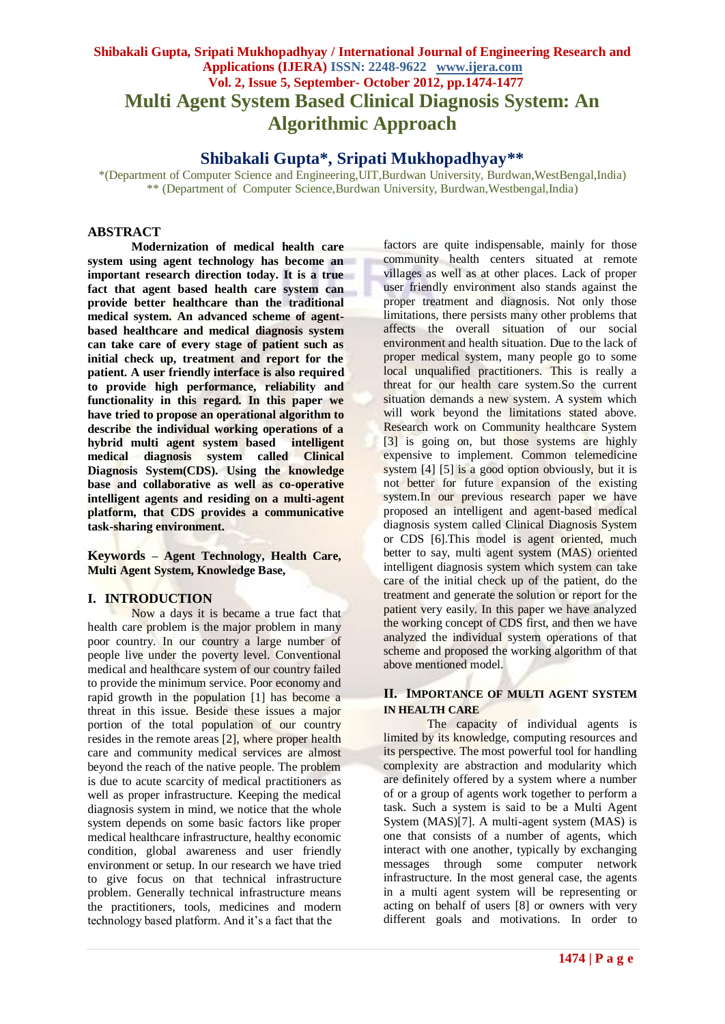# **Shibakali Gupta, Sripati Mukhopadhyay / International Journal of Engineering Research and Applications (IJERA) ISSN: 2248-9622 www.ijera.com Vol. 2, Issue 5, September- October 2012, pp.1474-1477 Multi Agent System Based Clinical Diagnosis System: An Algorithmic Approach**

# **Shibakali Gupta\*, Sripati Mukhopadhyay\*\***

\*(Department of Computer Science and Engineering,UIT,Burdwan University, Burdwan,WestBengal,India) \*\* (Department of Computer Science,Burdwan University, Burdwan,Westbengal,India)

## **ABSTRACT**

**Modernization of medical health care system using agent technology has become an important research direction today. It is a true fact that agent based health care system can provide better healthcare than the traditional medical system. An advanced scheme of agentbased healthcare and medical diagnosis system can take care of every stage of patient such as initial check up, treatment and report for the patient. A user friendly interface is also required to provide high performance, reliability and functionality in this regard. In this paper we have tried to propose an operational algorithm to describe the individual working operations of a hybrid multi agent system based intelligent medical diagnosis system called Clinical Diagnosis System(CDS). Using the knowledge base and collaborative as well as co-operative intelligent agents and residing on a multi-agent platform, that CDS provides a communicative task-sharing environment.**

**Keywords – Agent Technology, Health Care, Multi Agent System, Knowledge Base,**

## **I. INTRODUCTION**

Now a days it is became a true fact that health care problem is the major problem in many poor country. In our country a large number of people live under the poverty level. Conventional medical and healthcare system of our country failed to provide the minimum service. Poor economy and rapid growth in the population [1] has become a threat in this issue. Beside these issues a major portion of the total population of our country resides in the remote areas [2], where proper health care and community medical services are almost beyond the reach of the native people. The problem is due to acute scarcity of medical practitioners as well as proper infrastructure. Keeping the medical diagnosis system in mind, we notice that the whole system depends on some basic factors like proper medical healthcare infrastructure, healthy economic condition, global awareness and user friendly environment or setup. In our research we have tried to give focus on that technical infrastructure problem. Generally technical infrastructure means the practitioners, tools, medicines and modern technology based platform. And it's a fact that the

factors are quite indispensable, mainly for those community health centers situated at remote villages as well as at other places. Lack of proper user friendly environment also stands against the proper treatment and diagnosis. Not only those limitations, there persists many other problems that affects the overall situation of our social environment and health situation. Due to the lack of proper medical system, many people go to some local unqualified practitioners. This is really a threat for our health care system.So the current situation demands a new system. A system which will work beyond the limitations stated above. Research work on Community healthcare System [3] is going on, but those systems are highly expensive to implement. Common telemedicine system [4] [5] is a good option obviously, but it is not better for future expansion of the existing system.In our previous research paper we have proposed an intelligent and agent-based medical diagnosis system called Clinical Diagnosis System or CDS [6].This model is agent oriented, much better to say, multi agent system (MAS) oriented intelligent diagnosis system which system can take care of the initial check up of the patient, do the treatment and generate the solution or report for the patient very easily. In this paper we have analyzed the working concept of CDS first, and then we have analyzed the individual system operations of that scheme and proposed the working algorithm of that above mentioned model.

## **II. IMPORTANCE OF MULTI AGENT SYSTEM IN HEALTH CARE**

The capacity of individual agents is limited by its knowledge, computing resources and its perspective. The most powerful tool for handling complexity are abstraction and modularity which are definitely offered by a system where a number of or a group of agents work together to perform a task. Such a system is said to be a Multi Agent System (MAS)[7]. A multi-agent system (MAS) is one that consists of a number of agents, which interact with one another, typically by exchanging messages through some computer network infrastructure. In the most general case, the agents in a multi agent system will be representing or acting on behalf of users [8] or owners with very different goals and motivations. In order to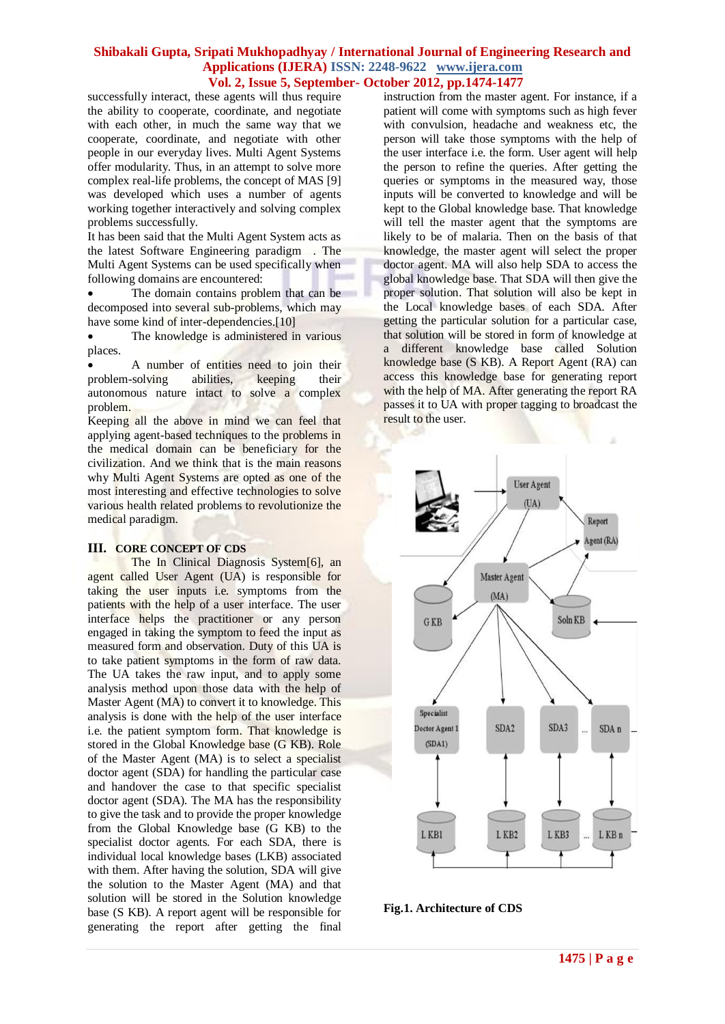### **Shibakali Gupta, Sripati Mukhopadhyay / International Journal of Engineering Research and Applications (IJERA) ISSN: 2248-9622 www.ijera.com Vol. 2, Issue 5, September- October 2012, pp.1474-1477**

successfully interact, these agents will thus require the ability to cooperate, coordinate, and negotiate with each other, in much the same way that we cooperate, coordinate, and negotiate with other people in our everyday lives. Multi Agent Systems offer modularity. Thus, in an attempt to solve more complex real-life problems, the concept of MAS [9] was developed which uses a number of agents working together interactively and solving complex problems successfully.

It has been said that the Multi Agent System acts as the latest Software Engineering paradigm . The Multi Agent Systems can be used specifically when following domains are encountered:

 The domain contains problem that can be decomposed into several sub-problems, which may have some kind of inter-dependencies.[10]

• The knowledge is administered in various places.

 A number of entities need to join their problem-solving abilities, keeping their autonomous nature intact to solve a complex problem.

Keeping all the above in mind we can feel that applying agent-based techniques to the problems in the medical domain can be beneficiary for the civilization. And we think that is the main reasons why Multi Agent Systems are opted as one of the most interesting and effective technologies to solve various health related problems to revolutionize the medical paradigm.

### **III. CORE CONCEPT OF CDS**

The In Clinical Diagnosis System[6], an agent called User Agent (UA) is responsible for taking the user inputs i.e. symptoms from the patients with the help of a user interface. The user interface helps the practitioner or any person engaged in taking the symptom to feed the input as measured form and observation. Duty of this UA is to take patient symptoms in the form of raw data. The UA takes the raw input, and to apply some analysis method upon those data with the help of Master Agent (MA) to convert it to knowledge. This analysis is done with the help of the user interface i.e. the patient symptom form. That knowledge is stored in the Global Knowledge base (G KB). Role of the Master Agent (MA) is to select a specialist doctor agent (SDA) for handling the particular case and handover the case to that specific specialist doctor agent (SDA). The MA has the responsibility to give the task and to provide the proper knowledge from the Global Knowledge base (G KB) to the specialist doctor agents. For each SDA, there is individual local knowledge bases (LKB) associated with them. After having the solution, SDA will give the solution to the Master Agent (MA) and that solution will be stored in the Solution knowledge base (S KB). A report agent will be responsible for generating the report after getting the final

instruction from the master agent. For instance, if a patient will come with symptoms such as high fever with convulsion, headache and weakness etc, the person will take those symptoms with the help of the user interface i.e. the form. User agent will help the person to refine the queries. After getting the queries or symptoms in the measured way, those inputs will be converted to knowledge and will be kept to the Global knowledge base. That knowledge will tell the master agent that the symptoms are likely to be of malaria. Then on the basis of that knowledge, the master agent will select the proper doctor agent. MA will also help SDA to access the global knowledge base. That SDA will then give the proper solution. That solution will also be kept in the Local knowledge bases of each SDA. After getting the particular solution for a particular case, that solution will be stored in form of knowledge at a different knowledge base called Solution knowledge base (S KB). A Report Agent (RA) can access this knowledge base for generating report with the help of MA. After generating the report RA passes it to UA with proper tagging to broadcast the result to the user.



**Fig.1. Architecture of CDS**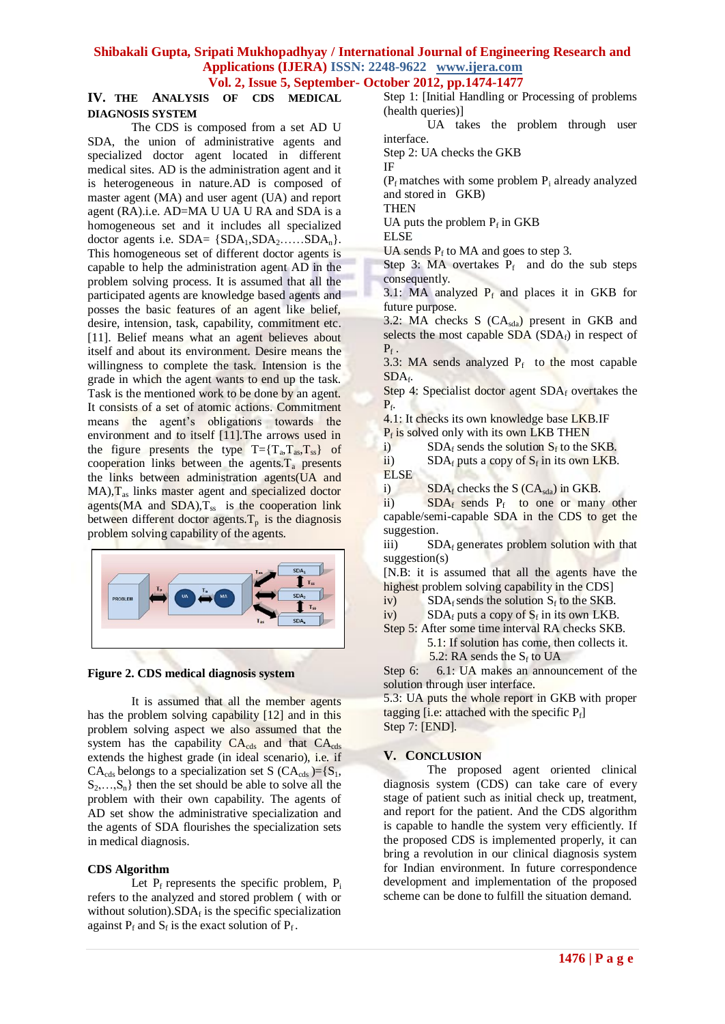## **Shibakali Gupta, Sripati Mukhopadhyay / International Journal of Engineering Research and Applications (IJERA) ISSN: 2248-9622 www.ijera.com Vol. 2, Issue 5, September- October 2012, pp.1474-1477**

## **IV. THE ANALYSIS OF CDS MEDICAL DIAGNOSIS SYSTEM**

The CDS is composed from a set AD U SDA, the union of administrative agents and specialized doctor agent located in different medical sites. AD is the administration agent and it is heterogeneous in nature.AD is composed of master agent (MA) and user agent (UA) and report agent (RA).i.e. AD=MA U UA U RA and SDA is a homogeneous set and it includes all specialized doctor agents i.e.  $SDA = \{SDA_1, SDA_2, \ldots, SDA_n\}.$ This homogeneous set of different doctor agents is capable to help the administration agent AD in the problem solving process. It is assumed that all the participated agents are knowledge based agents and posses the basic features of an agent like belief, desire, intension, task, capability, commitment etc. [11]. Belief means what an agent believes about itself and about its environment. Desire means the willingness to complete the task. Intension is the grade in which the agent wants to end up the task. Task is the mentioned work to be done by an agent. It consists of a set of atomic actions. Commitment means the agent's obligations towards the environment and to itself [11].The arrows used in the figure presents the type  $T = \{T_a, T_{as}, T_{ss}\}\$  of cooperation links between the agents. $T_a$  presents the links between administration agents(UA and MA), T<sub>as</sub> links master agent and specialized doctor agents(MA and  $SDA$ ),  $T_{ss}$  is the cooperation link between different doctor agents. $T_p$  is the diagnosis problem solving capability of the agents.



**Figure 2. CDS medical diagnosis system**

It is assumed that all the member agents has the problem solving capability [12] and in this problem solving aspect we also assumed that the system has the capability  $CA_{\text{cds}}$  and that  $CA_{\text{cds}}$ extends the highest grade (in ideal scenario), i.e. if  $CA_{\text{cds}}$  belongs to a specialization set S  $(CA_{\text{cds}}) = \{S_1,$  $S_2, \ldots, S_n$  then the set should be able to solve all the problem with their own capability. The agents of AD set show the administrative specialization and the agents of SDA flourishes the specialization sets in medical diagnosis.

## **CDS Algorithm**

Let  $P_f$  represents the specific problem,  $P_i$ refers to the analyzed and stored problem ( with or without solution). $SDA_f$  is the specific specialization against  $P_f$  and  $S_f$  is the exact solution of  $P_f$ .

Step 1: [Initial Handling or Processing of problems (health queries)]

UA takes the problem through user interface.

Step 2: UA checks the GKB IF

 $(P_f$  matches with some problem  $P_i$  already analyzed and stored in GKB)

**THEN** 

UA puts the problem  $P_f$  in GKB

ELSE

UA sends  $P_f$  to MA and goes to step 3.

Step 3: MA overtakes  $P_f$  and do the sub steps consequently.

3.1: MA analyzed  $P_f$  and places it in GKB for future purpose.

3.2: MA checks S  $(CA_{sda})$  present in GKB and selects the most capable  $SDA (SDA<sub>f</sub>)$  in respect of  $P_f$ .

3.3: MA sends analyzed  $P_f$  to the most capable SDA<sub>f</sub>.

Step 4: Specialist doctor agent  $SDA_f$  overtakes the P<sub>f</sub>.

4.1: It checks its own knowledge base LKB.IF

 $P_f$  is solved only with its own LKB THEN

i) SDA $_f$  sends the solution  $S_f$  to the SKB. ii) SDA<sub>f</sub> puts a copy of  $S_f$  in its own LKB.

**ELSE** 

i)  $SDA_f$  checks the S (CA<sub>sda</sub>) in GKB.<br>ii)  $SDA_f$  sends  $P_f$  to one or many ii)  $SDA_f$  sends  $P_f$  to one or many other capable/semi-capable SDA in the CDS to get the suggestion.

iii) SDAf generates problem solution with that suggestion(s)

[N.B: it is assumed that all the agents have the highest problem solving capability in the CDS]

iv) SDA<sub>f</sub> sends the solution  $S_f$  to the SKB.

iv) SDA<sub>f</sub> puts a copy of  $S_f$  in its own LKB.

Step 5: After some time interval RA checks SKB.

5.1: If solution has come, then collects it.  $5.2$ : RA sends the  $S_f$  to UA

Step 6: 6.1: UA makes an announcement of the solution through user interface.

5.3: UA puts the whole report in GKB with proper tagging  $[i.e: attached with the specific  $P_f$ ]$ Step 7: [END].

## **V. CONCLUSION**

The proposed agent oriented clinical diagnosis system (CDS) can take care of every stage of patient such as initial check up, treatment, and report for the patient. And the CDS algorithm is capable to handle the system very efficiently. If the proposed CDS is implemented properly, it can bring a revolution in our clinical diagnosis system for Indian environment. In future correspondence development and implementation of the proposed scheme can be done to fulfill the situation demand.